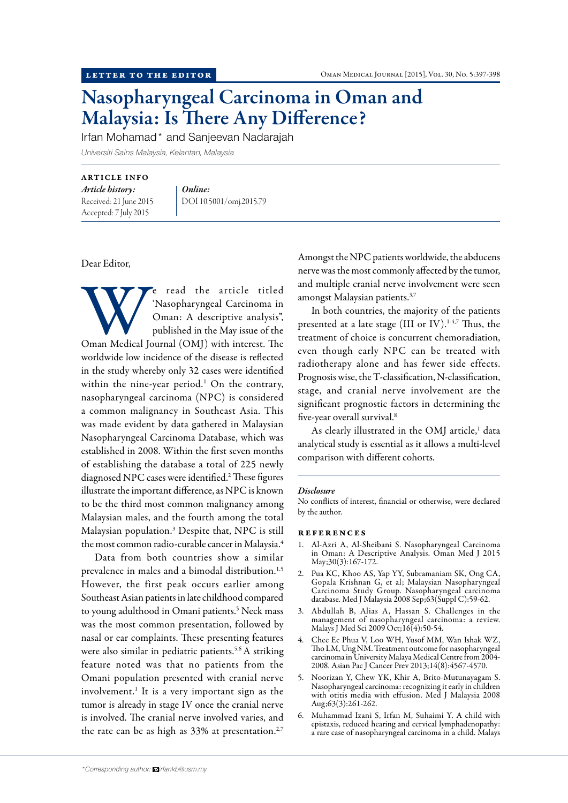# Nasopharyngeal Carcinoma in Oman and Malaysia: Is There Any Difference?

Irfan Mohamad\* and Sanjeevan Nadarajah

*Universiti Sains Malaysia, Kelantan, Malaysia*

### ARTICLE INFO

*Article history:*  Received: 21 June 2015 Accepted: 7 July 2015

*Online:* DOI 10.5001/omj.2015.79

## Dear Editor,

We read the article titled<br>
Masopharyngeal Carcinoma in<br>
Oman: A descriptive analysis",<br>
published in the May issue of the<br>
Oman Medical Journal (OMJ) with interest. The 'Nasopharyngeal Carcinoma in Oman: A descriptive analysis", published in the May issue of the worldwide low incidence of the disease is reflected in the study whereby only 32 cases were identified within the nine-year period.<sup>1</sup> On the contrary, nasopharyngeal carcinoma (NPC) is considered a common malignancy in Southeast Asia. This was made evident by data gathered in Malaysian Nasopharyngeal Carcinoma Database, which was established in 2008. Within the first seven months of establishing the database a total of 225 newly diagnosed NPC cases were identified.<sup>2</sup> These figures illustrate the important difference, as NPC is known to be the third most common malignancy among Malaysian males, and the fourth among the total Malaysian population.3 Despite that, NPC is still the most common radio-curable cancer in Malaysia.<sup>4</sup>

Data from both countries show a similar prevalence in males and a bimodal distribution.<sup>1,5</sup> However, the first peak occurs earlier among Southeast Asian patients in late childhood compared to young adulthood in Omani patients.<sup>5</sup> Neck mass was the most common presentation, followed by nasal or ear complaints. These presenting features were also similar in pediatric patients.<sup>5,6</sup> A striking feature noted was that no patients from the Omani population presented with cranial nerve involvement.<sup>1</sup> It is a very important sign as the tumor is already in stage IV once the cranial nerve is involved. The cranial nerve involved varies, and the rate can be as high as  $33\%$  at presentation.<sup>2,7</sup>

Amongst the NPC patients worldwide, the abducens nerve was the most commonly affected by the tumor, and multiple cranial nerve involvement were seen amongst Malaysian patients.3,7

In both countries, the majority of the patients presented at a late stage (III or IV).<sup>1-4,7</sup> Thus, the treatment of choice is concurrent chemoradiation, even though early NPC can be treated with radiotherapy alone and has fewer side effects. Prognosis wise, the T-classification, N-classification, stage, and cranial nerve involvement are the significant prognostic factors in determining the five-year overall survival.8

As clearly illustrated in the OMJ article,<sup>1</sup> data analytical study is essential as it allows a multi-level comparison with different cohorts.

#### *Disclosure*

No conflicts of interest, financial or otherwise, were declared by the author.

#### references

- 1. Al-Azri A, Al-Sheibani S. Nasopharyngeal Carcinoma in Oman: A Descriptive Analysis. Oman Med J 2015 May;30(3):167-172.
- 2. Pua KC, Khoo AS, Yap YY, Subramaniam SK, Ong CA, Gopala Krishnan G, et al; Malaysian Nasopharyngeal Carcinoma Study Group. Nasopharyngeal carcinoma database. Med J Malaysia 2008 Sep;63(Suppl C):59-62.
- 3. Abdullah B, Alias A, Hassan S. Challenges in the management of nasopharyngeal carcinoma: a review. Malays J Med Sci 2009 Oct;16(4):50-54.
- 4. Chee Ee Phua V, Loo WH, Yusof MM, Wan Ishak WZ, Tho LM, Ung NM. Treatment outcome for nasopharyngeal carcinoma in University Malaya Medical Centre from 2004- 2008. Asian Pac J Cancer Prev 2013;14(8):4567-4570.
- 5. Noorizan Y, Chew YK, Khir A, Brito-Mutunayagam S. Nasopharyngeal carcinoma: recognizing it early in children with otitis media with effusion. Med J Malaysia 2008 Aug;63(3):261-262.
- 6. Muhammad Izani S, Irfan M, Suhaimi Y. A child with epistaxis, reduced hearing and cervical lymphadenopathy: a rare case of nasopharyngeal carcinoma in a child. Malays